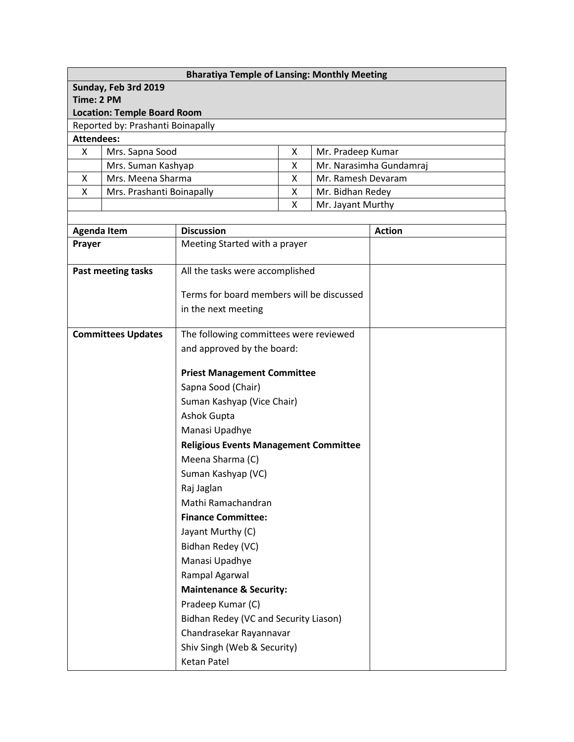| <b>Bharatiya Temple of Lansing: Monthly Meeting</b> |                           |   |                         |  |  |  |
|-----------------------------------------------------|---------------------------|---|-------------------------|--|--|--|
| Sunday, Feb 3rd 2019                                |                           |   |                         |  |  |  |
| Time: 2 PM                                          |                           |   |                         |  |  |  |
| <b>Location: Temple Board Room</b>                  |                           |   |                         |  |  |  |
| Reported by: Prashanti Boinapally                   |                           |   |                         |  |  |  |
| Attendees:                                          |                           |   |                         |  |  |  |
| X                                                   | Mrs. Sapna Sood           | X | Mr. Pradeep Kumar       |  |  |  |
|                                                     | Mrs. Suman Kashyap        | X | Mr. Narasimha Gundamraj |  |  |  |
| X                                                   | Mrs. Meena Sharma         | X | Mr. Ramesh Devaram      |  |  |  |
| X                                                   | Mrs. Prashanti Boinapally | X | Mr. Bidhan Redey        |  |  |  |
|                                                     |                           | X | Mr. Jayant Murthy       |  |  |  |

┑

| <b>Agenda Item</b>        | <b>Discussion</b>                            | <b>Action</b> |
|---------------------------|----------------------------------------------|---------------|
| Prayer                    | Meeting Started with a prayer                |               |
|                           |                                              |               |
| Past meeting tasks        | All the tasks were accomplished              |               |
|                           | Terms for board members will be discussed    |               |
|                           | in the next meeting                          |               |
|                           |                                              |               |
| <b>Committees Updates</b> | The following committees were reviewed       |               |
|                           | and approved by the board:                   |               |
|                           |                                              |               |
|                           | <b>Priest Management Committee</b>           |               |
|                           | Sapna Sood (Chair)                           |               |
|                           | Suman Kashyap (Vice Chair)                   |               |
|                           | Ashok Gupta                                  |               |
|                           | Manasi Upadhye                               |               |
|                           | <b>Religious Events Management Committee</b> |               |
|                           | Meena Sharma (C)                             |               |
|                           | Suman Kashyap (VC)                           |               |
|                           | Raj Jaglan                                   |               |
|                           | Mathi Ramachandran                           |               |
|                           | <b>Finance Committee:</b>                    |               |
|                           | Jayant Murthy (C)                            |               |
|                           | Bidhan Redey (VC)                            |               |
|                           | Manasi Upadhye                               |               |
|                           | Rampal Agarwal                               |               |
|                           | <b>Maintenance &amp; Security:</b>           |               |
|                           | Pradeep Kumar (C)                            |               |
|                           | Bidhan Redey (VC and Security Liason)        |               |
|                           | Chandrasekar Rayannavar                      |               |
|                           | Shiv Singh (Web & Security)                  |               |
|                           | <b>Ketan Patel</b>                           |               |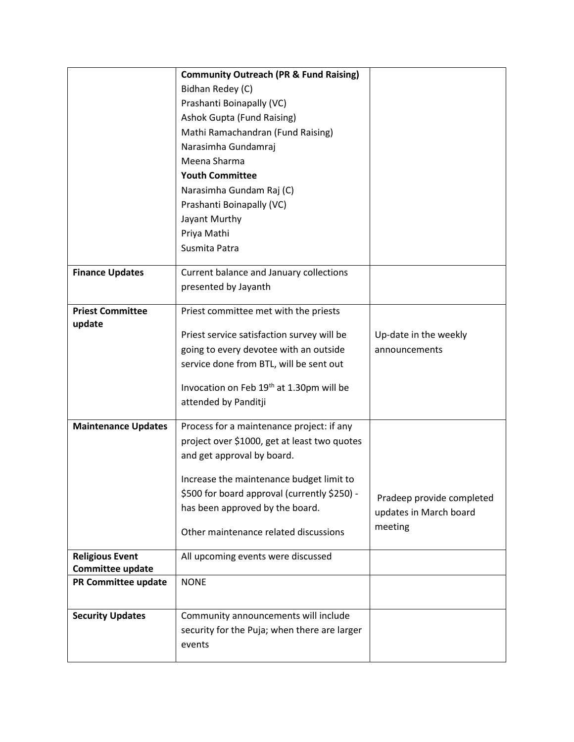|                                   | <b>Community Outreach (PR &amp; Fund Raising)</b> |                           |
|-----------------------------------|---------------------------------------------------|---------------------------|
|                                   | Bidhan Redey (C)                                  |                           |
|                                   | Prashanti Boinapally (VC)                         |                           |
|                                   | <b>Ashok Gupta (Fund Raising)</b>                 |                           |
|                                   | Mathi Ramachandran (Fund Raising)                 |                           |
|                                   | Narasimha Gundamraj                               |                           |
|                                   | Meena Sharma                                      |                           |
|                                   | <b>Youth Committee</b>                            |                           |
|                                   | Narasimha Gundam Raj (C)                          |                           |
|                                   | Prashanti Boinapally (VC)                         |                           |
|                                   | Jayant Murthy                                     |                           |
|                                   | Priya Mathi                                       |                           |
|                                   | Susmita Patra                                     |                           |
| <b>Finance Updates</b>            | Current balance and January collections           |                           |
|                                   | presented by Jayanth                              |                           |
|                                   |                                                   |                           |
| <b>Priest Committee</b><br>update | Priest committee met with the priests             |                           |
|                                   | Priest service satisfaction survey will be        | Up-date in the weekly     |
|                                   | going to every devotee with an outside            | announcements             |
|                                   | service done from BTL, will be sent out           |                           |
|                                   |                                                   |                           |
|                                   | Invocation on Feb 19th at 1.30pm will be          |                           |
|                                   | attended by Panditji                              |                           |
| <b>Maintenance Updates</b>        | Process for a maintenance project: if any         |                           |
|                                   | project over \$1000, get at least two quotes      |                           |
|                                   | and get approval by board.                        |                           |
|                                   | Increase the maintenance budget limit to          |                           |
|                                   | \$500 for board approval (currently \$250) -      |                           |
|                                   | has been approved by the board.                   | Pradeep provide completed |
|                                   |                                                   | updates in March board    |
|                                   | Other maintenance related discussions             | meeting                   |
| <b>Religious Event</b>            | All upcoming events were discussed                |                           |
| Committee update                  |                                                   |                           |
| PR Committee update               | <b>NONE</b>                                       |                           |
|                                   |                                                   |                           |
| <b>Security Updates</b>           | Community announcements will include              |                           |
|                                   | security for the Puja; when there are larger      |                           |
|                                   | events                                            |                           |
|                                   |                                                   |                           |